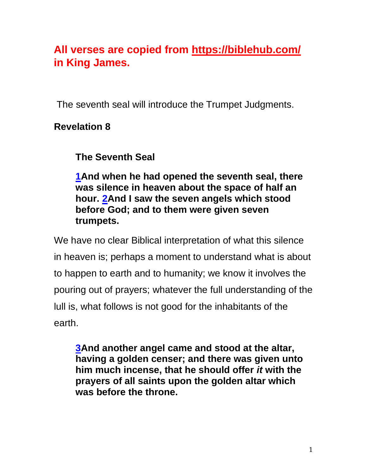# **All verses are copied from https://biblehub.com/ in King James.**

The seventh seal will introduce the Trumpet Judgments.

### **Revelation 8**

**The Seventh Seal**

**[1A](http://biblehub.com/revelation/8-1.htm)nd when he had opened the seventh seal, there was silence in heaven about the space of half an hour. [2A](http://biblehub.com/revelation/8-2.htm)nd I saw the seven angels which stood before God; and to them were given seven trumpets.**

We have no clear Biblical interpretation of what this silence in heaven is; perhaps a moment to understand what is about to happen to earth and to humanity; we know it involves the pouring out of prayers; whatever the full understanding of the lull is, what follows is not good for the inhabitants of the earth.

**[3A](http://biblehub.com/revelation/8-3.htm)nd another angel came and stood at the altar, having a golden censer; and there was given unto him much incense, that he should offer** *it* **with the prayers of all saints upon the golden altar which was before the throne.**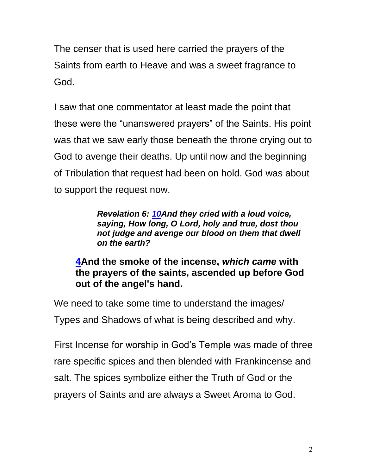The censer that is used here carried the prayers of the Saints from earth to Heave and was a sweet fragrance to God.

I saw that one commentator at least made the point that these were the "unanswered prayers" of the Saints. His point was that we saw early those beneath the throne crying out to God to avenge their deaths. Up until now and the beginning of Tribulation that request had been on hold. God was about to support the request now.

> *Revelation 6: [10A](http://biblehub.com/revelation/6-10.htm)nd they cried with a loud voice, saying, How long, O Lord, holy and true, dost thou not judge and avenge our blood on them that dwell on the earth?*

#### **[4A](http://biblehub.com/revelation/8-4.htm)nd the smoke of the incense,** *which came* **with the prayers of the saints, ascended up before God out of the angel's hand.**

We need to take some time to understand the images/ Types and Shadows of what is being described and why.

First Incense for worship in God's Temple was made of three rare specific spices and then blended with Frankincense and salt. The spices symbolize either the Truth of God or the prayers of Saints and are always a Sweet Aroma to God.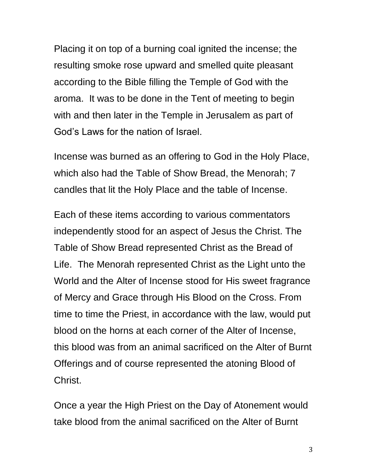Placing it on top of a burning coal ignited the incense; the resulting smoke rose upward and smelled quite pleasant according to the Bible filling the Temple of God with the aroma. It was to be done in the Tent of meeting to begin with and then later in the Temple in Jerusalem as part of God's Laws for the nation of Israel.

Incense was burned as an offering to God in the Holy Place, which also had the Table of Show Bread, the Menorah; 7 candles that lit the Holy Place and the table of Incense.

Each of these items according to various commentators independently stood for an aspect of Jesus the Christ. The Table of Show Bread represented Christ as the Bread of Life. The Menorah represented Christ as the Light unto the World and the Alter of Incense stood for His sweet fragrance of Mercy and Grace through His Blood on the Cross. From time to time the Priest, in accordance with the law, would put blood on the horns at each corner of the Alter of Incense, this blood was from an animal sacrificed on the Alter of Burnt Offerings and of course represented the atoning Blood of Christ.

Once a year the High Priest on the Day of Atonement would take blood from the animal sacrificed on the Alter of Burnt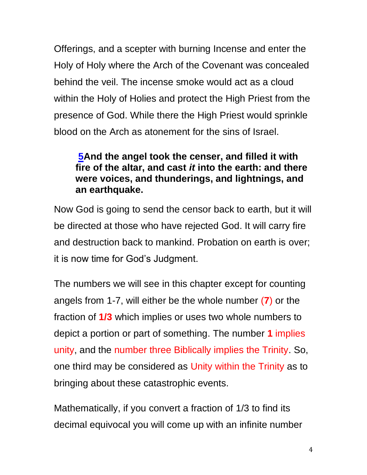Offerings, and a scepter with burning Incense and enter the Holy of Holy where the Arch of the Covenant was concealed behind the veil. The incense smoke would act as a cloud within the Holy of Holies and protect the High Priest from the presence of God. While there the High Priest would sprinkle blood on the Arch as atonement for the sins of Israel.

#### **[5A](http://biblehub.com/revelation/8-5.htm)nd the angel took the censer, and filled it with fire of the altar, and cast** *it* **into the earth: and there were voices, and thunderings, and lightnings, and an earthquake.**

Now God is going to send the censor back to earth, but it will be directed at those who have rejected God. It will carry fire and destruction back to mankind. Probation on earth is over; it is now time for God's Judgment.

The numbers we will see in this chapter except for counting angels from 1-7, will either be the whole number (**7**) or the fraction of **1/3** which implies or uses two whole numbers to depict a portion or part of something. The number **1** implies unity, and the number three Biblically implies the Trinity. So, one third may be considered as Unity within the Trinity as to bringing about these catastrophic events.

Mathematically, if you convert a fraction of 1/3 to find its decimal equivocal you will come up with an infinite number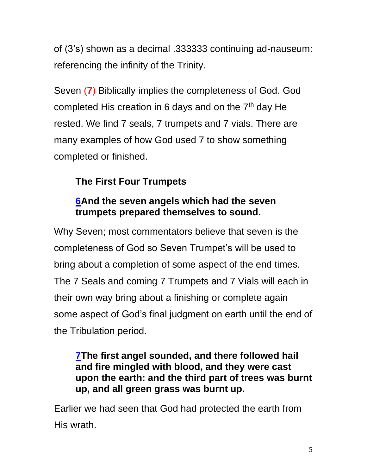of (3's) shown as a decimal .333333 continuing ad-nauseum: referencing the infinity of the Trinity.

Seven (**7**) Biblically implies the completeness of God. God completed His creation in 6 days and on the  $7<sup>th</sup>$  day He rested. We find 7 seals, 7 trumpets and 7 vials. There are many examples of how God used 7 to show something completed or finished.

## **The First Four Trumpets**

## **[6A](http://biblehub.com/revelation/8-6.htm)nd the seven angels which had the seven trumpets prepared themselves to sound.**

Why Seven; most commentators believe that seven is the completeness of God so Seven Trumpet's will be used to bring about a completion of some aspect of the end times. The 7 Seals and coming 7 Trumpets and 7 Vials will each in their own way bring about a finishing or complete again some aspect of God's final judgment on earth until the end of the Tribulation period.

#### **[7T](http://biblehub.com/revelation/8-7.htm)he first angel sounded, and there followed hail and fire mingled with blood, and they were cast upon the earth: and the third part of trees was burnt up, and all green grass was burnt up.**

Earlier we had seen that God had protected the earth from His wrath.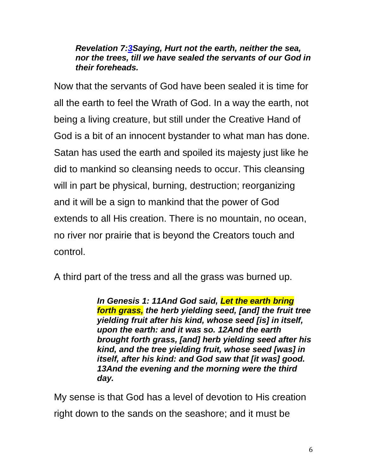#### *Revelation 7[:3S](http://biblehub.com/revelation/7-3.htm)aying, Hurt not the earth, neither the sea, nor the trees, till we have sealed the servants of our God in their foreheads.*

Now that the servants of God have been sealed it is time for all the earth to feel the Wrath of God. In a way the earth, not being a living creature, but still under the Creative Hand of God is a bit of an innocent bystander to what man has done. Satan has used the earth and spoiled its majesty just like he did to mankind so cleansing needs to occur. This cleansing will in part be physical, burning, destruction; reorganizing and it will be a sign to mankind that the power of God extends to all His creation. There is no mountain, no ocean, no river nor prairie that is beyond the Creators touch and control.

A third part of the tress and all the grass was burned up.

*In Genesis 1: [11](https://biblehub.com/genesis/1-11.htm)[And God](https://biblesuite.com/hebrew/430.htm) [said,](https://biblesuite.com/hebrew/559.htm) [Let the earth](https://biblesuite.com/hebrew/776.htm) [bring](https://biblesuite.com/hebrew/1876.htm)  [forth](https://biblesuite.com/hebrew/1876.htm) [grass,](https://biblesuite.com/hebrew/1877.htm) [the herb](https://biblesuite.com/hebrew/6212.htm) [yielding](https://biblesuite.com/hebrew/2232.htm) [seed,](https://biblesuite.com/hebrew/2233.htm) [\[and\] the fruit](https://biblesuite.com/hebrew/6529.htm) [tree](https://biblesuite.com/hebrew/6086.htm) [yielding](https://biblesuite.com/hebrew/6213.htm) [fruit](https://biblesuite.com/hebrew/6529.htm) [after his kind,](https://biblesuite.com/hebrew/4327.htm) [whose](https://biblesuite.com/hebrew/834.htm) [seed](https://biblesuite.com/hebrew/2233.htm) [\[is\] in itself,](https://biblesuite.com/hebrew/776.htm)  [upon the earth:](https://biblesuite.com/hebrew/776.htm) [and it was so.](https://biblesuite.com/strongs.htm) [12](https://biblehub.com/genesis/1-12.htm)[And the earth](https://biblesuite.com/hebrew/776.htm) [brought forth](https://biblesuite.com/hebrew/3318.htm) [grass,](https://biblesuite.com/hebrew/1877.htm) [\[and\] herb](https://biblesuite.com/hebrew/6212.htm) [yielding](https://biblesuite.com/hebrew/2232.htm) [seed](https://biblesuite.com/hebrew/2233.htm) [after his](https://biblesuite.com/hebrew/4327.htm)  [kind,](https://biblesuite.com/hebrew/4327.htm) [and the tree](https://biblesuite.com/hebrew/6086.htm) [yielding](https://biblesuite.com/hebrew/6213.htm) [fruit,](https://biblesuite.com/hebrew/6529.htm) [whose seed](https://biblesuite.com/hebrew/2233.htm) [\[was\] in](https://biblesuite.com/hebrew/4327.htm)  [itself, after his kind:](https://biblesuite.com/hebrew/4327.htm) [and God](https://biblesuite.com/hebrew/430.htm) [saw](https://biblesuite.com/hebrew/7200.htm) [that \[it was\] good.](https://biblesuite.com/hebrew/2896.htm) [13](https://biblehub.com/genesis/1-13.htm)[And the evening](https://biblesuite.com/hebrew/6153.htm) [and the morning](https://biblesuite.com/hebrew/1242.htm) [were the third](https://biblesuite.com/hebrew/7992.htm) [day.](https://biblesuite.com/hebrew/3117.htm)*

My sense is that God has a level of devotion to His creation right down to the sands on the seashore; and it must be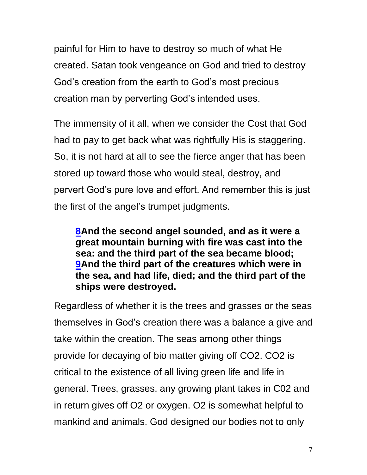painful for Him to have to destroy so much of what He created. Satan took vengeance on God and tried to destroy God's creation from the earth to God's most precious creation man by perverting God's intended uses.

The immensity of it all, when we consider the Cost that God had to pay to get back what was rightfully His is staggering. So, it is not hard at all to see the fierce anger that has been stored up toward those who would steal, destroy, and pervert God's pure love and effort. And remember this is just the first of the angel's trumpet judgments.

**[8A](http://biblehub.com/revelation/8-8.htm)nd the second angel sounded, and as it were a great mountain burning with fire was cast into the sea: and the third part of the sea became blood; [9A](http://biblehub.com/revelation/8-9.htm)nd the third part of the creatures which were in the sea, and had life, died; and the third part of the ships were destroyed.**

Regardless of whether it is the trees and grasses or the seas themselves in God's creation there was a balance a give and take within the creation. The seas among other things provide for decaying of bio matter giving off CO2. CO2 is critical to the existence of all living green life and life in general. Trees, grasses, any growing plant takes in C02 and in return gives off O2 or oxygen. O2 is somewhat helpful to mankind and animals. God designed our bodies not to only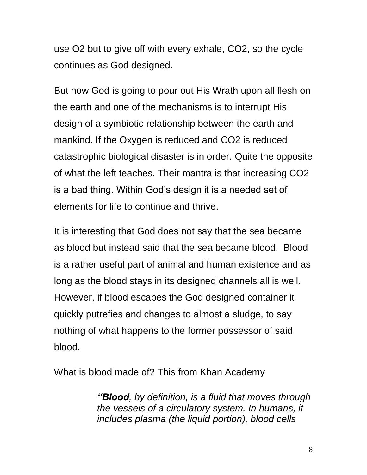use O2 but to give off with every exhale, CO2, so the cycle continues as God designed.

But now God is going to pour out His Wrath upon all flesh on the earth and one of the mechanisms is to interrupt His design of a symbiotic relationship between the earth and mankind. If the Oxygen is reduced and CO2 is reduced catastrophic biological disaster is in order. Quite the opposite of what the left teaches. Their mantra is that increasing CO2 is a bad thing. Within God's design it is a needed set of elements for life to continue and thrive.

It is interesting that God does not say that the sea became as blood but instead said that the sea became blood. Blood is a rather useful part of animal and human existence and as long as the blood stays in its designed channels all is well. However, if blood escapes the God designed container it quickly putrefies and changes to almost a sludge, to say nothing of what happens to the former possessor of said blood.

What is blood made of? This from Khan Academy

*"Blood, by definition, is a fluid that moves through the vessels of a circulatory system. In humans, it includes plasma (the liquid portion), blood cells*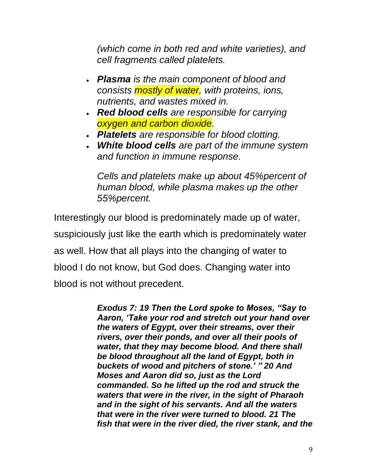*(which come in both red and white varieties), and cell fragments called platelets.* 

- *Plasma is the main component of blood and consists mostly of water, with proteins, ions, nutrients, and wastes mixed in.*
- *Red blood cells are responsible for carrying oxygen and carbon dioxide.*
- *Platelets are responsible for blood clotting.*
- *White blood cells are part of the immune system and function in immune response.*

*Cells and platelets make up about 45%percent of human blood, while plasma makes up the other 55%percent.* 

Interestingly our blood is predominately made up of water, suspiciously just like the earth which is predominately water as well. How that all plays into the changing of water to blood I do not know, but God does. Changing water into blood is not without precedent.

> *Exodus 7: 19 Then the Lord spoke to Moses, "Say to Aaron, 'Take your rod and stretch out your hand over the waters of Egypt, over their streams, over their rivers, over their ponds, and over all their pools of water, that they may become blood. And there shall be blood throughout all the land of Egypt, both in buckets of wood and pitchers of stone.' " 20 And Moses and Aaron did so, just as the Lord commanded. So he lifted up the rod and struck the waters that were in the river, in the sight of Pharaoh and in the sight of his servants. And all the waters that were in the river were turned to blood. 21 The fish that were in the river died, the river stank, and the*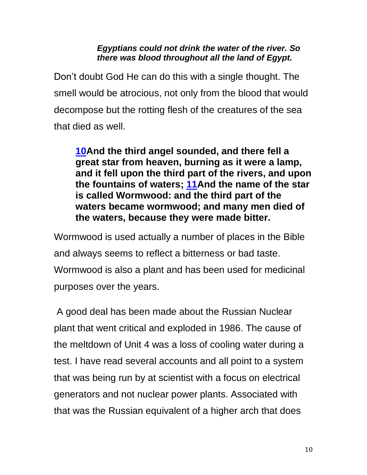#### *Egyptians could not drink the water of the river. So there was blood throughout all the land of Egypt.*

Don't doubt God He can do this with a single thought. The smell would be atrocious, not only from the blood that would decompose but the rotting flesh of the creatures of the sea that died as well.

**[10A](http://biblehub.com/revelation/8-10.htm)nd the third angel sounded, and there fell a great star from heaven, burning as it were a lamp, and it fell upon the third part of the rivers, and upon the fountains of waters; [11A](http://biblehub.com/revelation/8-11.htm)nd the name of the star is called Wormwood: and the third part of the waters became wormwood; and many men died of the waters, because they were made bitter.**

Wormwood is used actually a number of places in the Bible and always seems to reflect a bitterness or bad taste. Wormwood is also a plant and has been used for medicinal purposes over the years.

A good deal has been made about the Russian Nuclear plant that went critical and exploded in 1986. The cause of the meltdown of Unit 4 was a loss of cooling water during a test. I have read several accounts and all point to a system that was being run by at scientist with a focus on electrical generators and not nuclear power plants. Associated with that was the Russian equivalent of a higher arch that does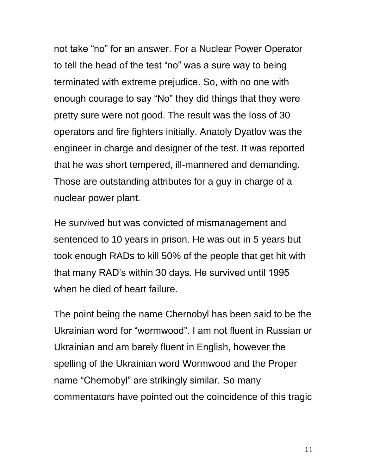not take "no" for an answer. For a Nuclear Power Operator to tell the head of the test "no" was a sure way to being terminated with extreme prejudice. So, with no one with enough courage to say "No" they did things that they were pretty sure were not good. The result was the loss of 30 operators and fire fighters initially. Anatoly Dyatlov was the engineer in charge and designer of the test. It was reported that he was short tempered, ill-mannered and demanding. Those are outstanding attributes for a guy in charge of a nuclear power plant.

He survived but was convicted of mismanagement and sentenced to 10 years in prison. He was out in 5 years but took enough RADs to kill 50% of the people that get hit with that many RAD's within 30 days. He survived until 1995 when he died of heart failure.

The point being the name Chernobyl has been said to be the Ukrainian word for "wormwood". I am not fluent in Russian or Ukrainian and am barely fluent in English, however the spelling of the Ukrainian word Wormwood and the Proper name "Chernobyl" are strikingly similar. So many commentators have pointed out the coincidence of this tragic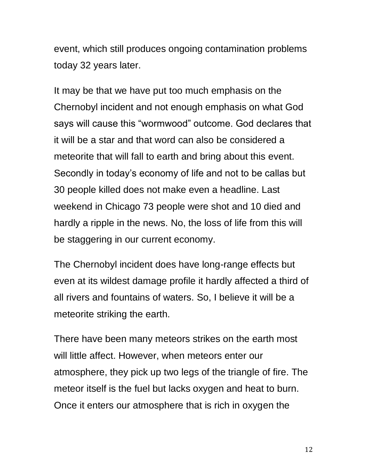event, which still produces ongoing contamination problems today 32 years later.

It may be that we have put too much emphasis on the Chernobyl incident and not enough emphasis on what God says will cause this "wormwood" outcome. God declares that it will be a star and that word can also be considered a meteorite that will fall to earth and bring about this event. Secondly in today's economy of life and not to be callas but 30 people killed does not make even a headline. Last weekend in Chicago 73 people were shot and 10 died and hardly a ripple in the news. No, the loss of life from this will be staggering in our current economy.

The Chernobyl incident does have long-range effects but even at its wildest damage profile it hardly affected a third of all rivers and fountains of waters. So, I believe it will be a meteorite striking the earth.

There have been many meteors strikes on the earth most will little affect. However, when meteors enter our atmosphere, they pick up two legs of the triangle of fire. The meteor itself is the fuel but lacks oxygen and heat to burn. Once it enters our atmosphere that is rich in oxygen the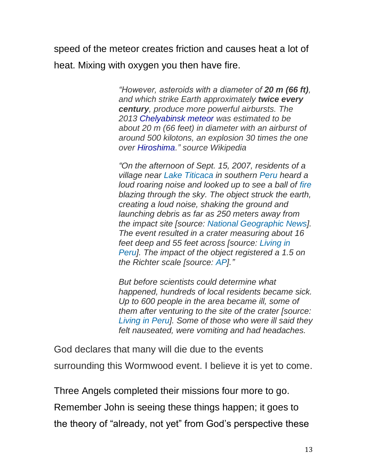speed of the meteor creates friction and causes heat a lot of heat. Mixing with oxygen you then have fire.

> *"However, asteroids with a diameter of 20 m (66 ft), and which strike Earth approximately twice every century, produce more powerful airbursts. The 2013 [Chelyabinsk meteor](http://www.bing.com/search?q=Chelyabinsk+meteor&filters=sid%3acf8552bf-b851-4b0c-a872-5101e0bc1edc) was estimated to be about 20 m (66 feet) in diameter with an airburst of around 500 kilotons, an explosion 30 times the one over [Hiroshima.](http://www.bing.com/search?q=Hiroshima&filters=sid%3a227f1ee4-99ad-2318-12f2-11b3db093421)" source Wikipedia*

> *"On the afternoon of Sept. 15, 2007, residents of a village near [Lake Titicaca](https://adventure.howstuffworks.com/) in southern [Peru](https://history.howstuffworks.com/) heard a loud roaring noise and looked up to see a ball of [fire](https://science.howstuffworks.com/environmental/earth/geophysics/fire.htm) blazing through the sky. The object struck the earth, creating a loud noise, shaking the ground and launching debris as far as 250 meters away from the impact site [source: [National Geographic News\]](http://news.nationalgeographic.com/news/2007/09/070921-meteor-peru.html). The event resulted in a crater measuring about 16 feet deep and 55 feet across [source: [Living in](http://www.livinginperu.com/news/4758)  [Peru\]](http://www.livinginperu.com/news/4758). The impact of the object registered a 1.5 on the Richter scale [source: [AP\]](http://ap.google.com/article/ALeqM5isWWHSxCh_u0yUNU9Gpk1qfg996A)."*

> *But before scientists could determine what happened, hundreds of local residents became sick. Up to 600 people in the area became ill, some of them after venturing to the site of the crater [source: [Living in Peru\]](http://www.livinginperu.com/news-4732-environmentnature-medical-teams-aid-in-rising-number-of-illnesses-after-meteorite-crash). Some of those who were ill said they felt nauseated, were vomiting and had headaches.*

God declares that many will die due to the events surrounding this Wormwood event. I believe it is yet to come.

Three Angels completed their missions four more to go.

Remember John is seeing these things happen; it goes to

the theory of "already, not yet" from God's perspective these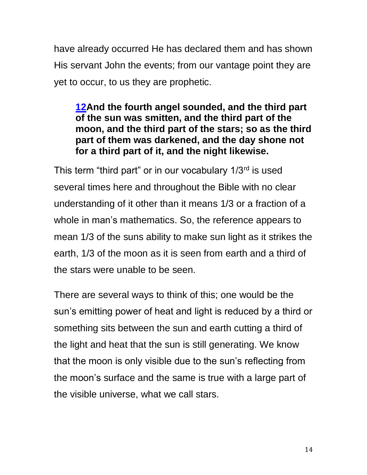have already occurred He has declared them and has shown His servant John the events; from our vantage point they are yet to occur, to us they are prophetic.

#### **[12A](http://biblehub.com/revelation/8-12.htm)nd the fourth angel sounded, and the third part of the sun was smitten, and the third part of the moon, and the third part of the stars; so as the third part of them was darkened, and the day shone not for a third part of it, and the night likewise.**

This term "third part" or in our vocabulary  $1/3<sup>rd</sup>$  is used several times here and throughout the Bible with no clear understanding of it other than it means 1/3 or a fraction of a whole in man's mathematics. So, the reference appears to mean 1/3 of the suns ability to make sun light as it strikes the earth, 1/3 of the moon as it is seen from earth and a third of the stars were unable to be seen.

There are several ways to think of this; one would be the sun's emitting power of heat and light is reduced by a third or something sits between the sun and earth cutting a third of the light and heat that the sun is still generating. We know that the moon is only visible due to the sun's reflecting from the moon's surface and the same is true with a large part of the visible universe, what we call stars.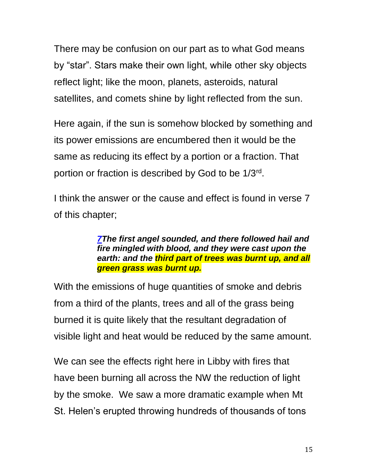There may be confusion on our part as to what God means by "star". Stars make their own light, while other sky objects reflect light; like the moon, planets, asteroids, natural satellites, and comets shine by light reflected from the sun.

Here again, if the sun is somehow blocked by something and its power emissions are encumbered then it would be the same as reducing its effect by a portion or a fraction. That portion or fraction is described by God to be 1/3<sup>rd</sup>.

I think the answer or the cause and effect is found in verse 7 of this chapter;

> *[7T](http://biblehub.com/revelation/8-7.htm)he first angel sounded, and there followed hail and fire mingled with blood, and they were cast upon the earth: and the third part of trees was burnt up, and all green grass was burnt up.*

With the emissions of huge quantities of smoke and debris from a third of the plants, trees and all of the grass being burned it is quite likely that the resultant degradation of visible light and heat would be reduced by the same amount.

We can see the effects right here in Libby with fires that have been burning all across the NW the reduction of light by the smoke. We saw a more dramatic example when Mt St. Helen's erupted throwing hundreds of thousands of tons